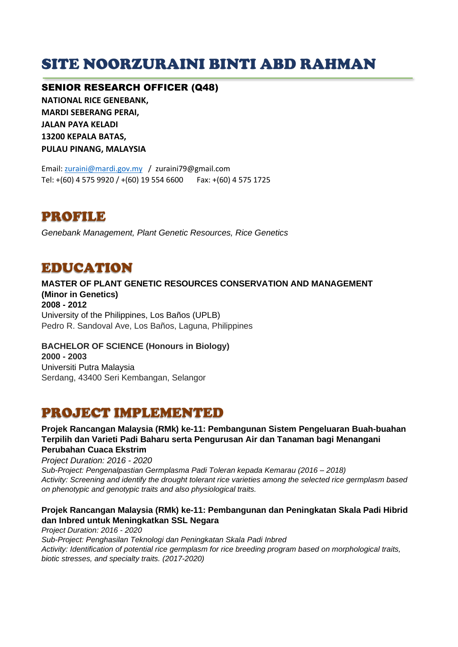# SITE NOORZURAINI BINTI ABD RAHMAN

#### SENIOR RESEARCH OFFICER (Q48)

**NATIONAL RICE GENEBANK, MARDI SEBERANG PERAI, JALAN PAYA KELADI 13200 KEPALA BATAS, PULAU PINANG, MALAYSIA**

Email: [zuraini@mardi.gov.my](mailto:zuraini@mardi.gov.my) / zuraini79@gmail.com Tel: +(60) 4 575 9920 / +(60) 19 554 6600 Fax: +(60) 4 575 1725

PROFILE

*Genebank Management, Plant Genetic Resources, Rice Genetics*

## EDUCATION

**MASTER OF PLANT GENETIC RESOURCES CONSERVATION AND MANAGEMENT (Minor in Genetics) 2008 - 2012** University of the Philippines, Los Baños (UPLB) Pedro R. Sandoval Ave, Los Baños, Laguna, Philippines

#### **BACHELOR OF SCIENCE (Honours in Biology) 2000 - 2003** Universiti Putra Malaysia Serdang, 43400 Seri Kembangan, Selangor

### PROJECT IMPLEMENTED

#### **Projek Rancangan Malaysia (RMk) ke-11: Pembangunan Sistem Pengeluaran Buah-buahan Terpilih dan Varieti Padi Baharu serta Pengurusan Air dan Tanaman bagi Menangani Perubahan Cuaca Ekstrim**

*Project Duration: 2016 - 2020*

*Sub-Project: Pengenalpastian Germplasma Padi Toleran kepada Kemarau (2016 – 2018) Activity: Screening and identify the drought tolerant rice varieties among the selected rice germplasm based on phenotypic and genotypic traits and also physiological traits.* 

#### **Projek Rancangan Malaysia (RMk) ke-11: Pembangunan dan Peningkatan Skala Padi Hibrid dan Inbred untuk Meningkatkan SSL Negara**

*Project Duration: 2016 - 2020 Sub-Project: Penghasilan Teknologi dan Peningkatan Skala Padi Inbred Activity: Identification of potential rice germplasm for rice breeding program based on morphological traits, biotic stresses, and specialty traits. (2017-2020)*